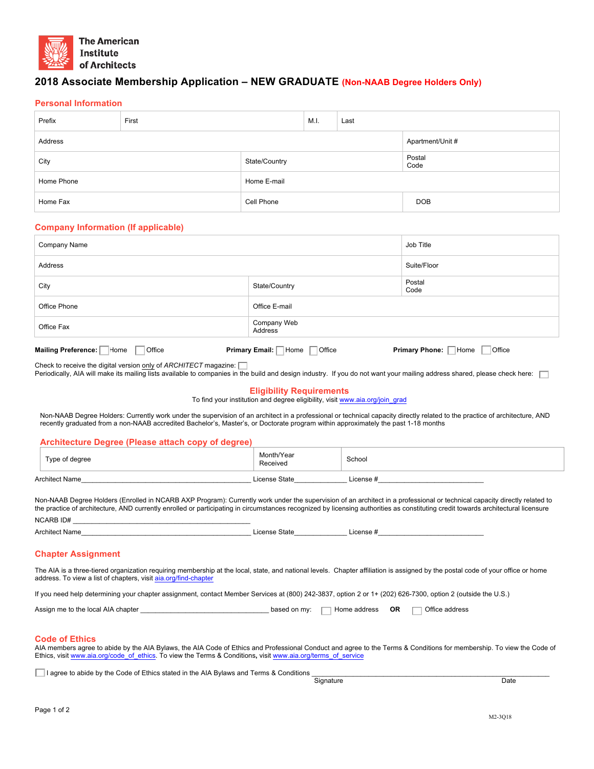

# **2018 Associate Membership Application – NEW GRADUATE (Non-NAAB Degree Holders Only)**

### **Personal Information**

| Prefix     | First |               | M.I. | Last |                  |
|------------|-------|---------------|------|------|------------------|
| Address    |       |               |      |      | Apartment/Unit # |
| City       |       | State/Country |      |      | Postal<br>Code   |
| Home Phone |       | Home E-mail   |      |      |                  |
| Home Fax   |       | Cell Phone    |      |      | <b>DOB</b>       |

#### **Company Information (If applicable)**

| Company Name                                                                                                        | Job Title              |                |  |  |
|---------------------------------------------------------------------------------------------------------------------|------------------------|----------------|--|--|
| Address                                                                                                             |                        | Suite/Floor    |  |  |
| City                                                                                                                | State/Country          | Postal<br>Code |  |  |
| Office Phone                                                                                                        | Office E-mail          |                |  |  |
| Office Fax                                                                                                          | Company Web<br>Address |                |  |  |
| Primary Email:  <br>Mailing Preference:<br>Primary Phone: Home<br>Home<br>Home<br>Office<br><b>Office</b><br>Office |                        |                |  |  |

Check to receive the digital version only of *ARCHITECT* magazine:

Periodically, AIA will make its mailing lists available to companies in the build and design industry. If you do not want your mailing address shared, please check here:

### **Eligibility Requirements**

To find your institution and degree eligibility, visit www.aia.org/join\_grad

Non-NAAB Degree Holders: Currently work under the supervision of an architect in a professional or technical capacity directly related to the practice of architecture, AND recently graduated from a non-NAAB accredited Bachelor's, Master's, or Doctorate program within approximately the past 1-18 months

### **Architecture Degree (Please attach copy of degree)**

| Type of degree        | Month/Year<br>Received | School                                     |  |
|-----------------------|------------------------|--------------------------------------------|--|
| <b>Architect Name</b> | License State          | $\mathsf{\mathsf{\scriptstyle L}icense\#}$ |  |

Non-NAAB Degree Holders (Enrolled in NCARB AXP Program): Currently work under the supervision of an architect in a professional or technical capacity directly related to the practice of architecture, AND currently enrolled or participating in circumstances recognized by licensing authorities as constituting credit towards architectural licensure NCARB ID# \_\_\_\_\_\_\_\_\_\_\_\_\_\_\_\_\_\_\_\_\_\_\_\_\_\_\_\_\_\_\_\_\_\_\_\_\_\_\_\_\_\_\_\_\_\_\_

| <b>Architect Name</b> | State<br>_icense | icense |
|-----------------------|------------------|--------|
|-----------------------|------------------|--------|

### **Chapter Assignment**

The AIA is a three-tiered organization requiring membership at the local, state, and national levels. Chapter affiliation is assigned by the postal code of your office or home address. To view a list of chapters, visit aia.org/find-chapter

If you need help determining your chapter assignment, contact Member Services at (800) 242-3837, option 2 or 1+ (202) 626-7300, option 2 (outside the U.S.)

| Assign me to the local AIA chapter | based on my: | Home address . | OR | $\neg$ Office address |
|------------------------------------|--------------|----------------|----|-----------------------|
|                                    |              |                |    |                       |

## **Code of Ethics**

AIA members agree to abide by the AIA Bylaws, the AIA Code of Ethics and Professional Conduct and agree to the Terms & Conditions for membership. To view the Code of Ethics, visit www.aia.org/code\_of\_ethics. To view the Terms & Conditions, visit www.aia.org/terms\_of\_service

**□** I agree to abide by the Code of Ethics stated in the AIA Bylaws and Terms & Conditions <br>Signature

example and the Signature of the Signature of the Signature of the Date of the Date of the Date of the Date of the Date of the Date of the Date of the Date of the Date of the Date of the Date of the Date of the Date of the